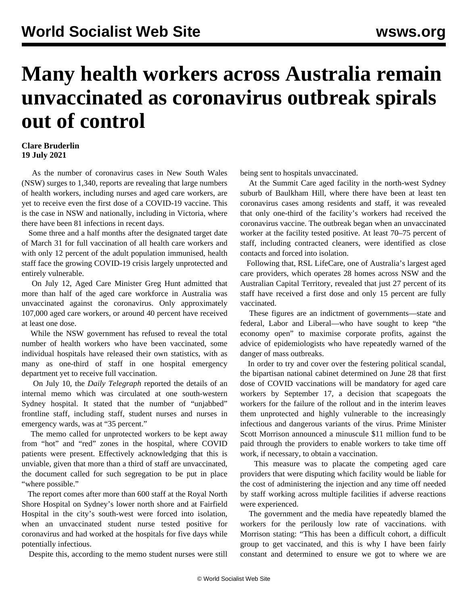## **Many health workers across Australia remain unvaccinated as coronavirus outbreak spirals out of control**

## **Clare Bruderlin 19 July 2021**

 As the number of coronavirus cases in New South Wales (NSW) surges to 1,340, reports are revealing that large numbers of health workers, including nurses and aged care workers, are yet to receive even the first dose of a COVID-19 vaccine. This is the case in NSW and nationally, including in Victoria, where there have been 81 infections in recent days.

 Some three and a half months after the designated target date of March 31 for full vaccination of all health care workers and with only 12 percent of the adult population immunised, health staff face the growing COVID-19 crisis largely unprotected and entirely vulnerable.

 On July 12, Aged Care Minister Greg Hunt admitted that more than half of the aged care workforce in Australia was unvaccinated against the coronavirus. Only approximately 107,000 aged care workers, or around 40 percent have received at least one dose.

 While the NSW government has refused to reveal the total number of health workers who have been vaccinated, some individual hospitals have released their own statistics, with as many as one-third of staff in one hospital emergency department yet to receive full vaccination.

 On July 10, the *Daily Telegraph* reported the details of an internal memo which was circulated at one south-western Sydney hospital. It stated that the number of "unjabbed" frontline staff, including staff, student nurses and nurses in emergency wards, was at "35 percent."

 The memo called for unprotected workers to be kept away from "hot" and "red" zones in the hospital, where COVID patients were present. Effectively acknowledging that this is unviable, given that more than a third of staff are unvaccinated, the document called for such segregation to be put in place "where possible."

 The report comes after more than 600 staff at the Royal North Shore Hospital on Sydney's lower north shore and at Fairfield Hospital in the city's south-west were forced into isolation, when an unvaccinated student nurse tested positive for coronavirus and had worked at the hospitals for five days while potentially infectious.

Despite this, according to the memo student nurses were still

being sent to hospitals unvaccinated.

 At the Summit Care aged facility in the north-west Sydney suburb of Baulkham Hill, where there have been at least ten coronavirus cases among residents and staff, it was revealed that only one-third of the facility's workers had received the coronavirus vaccine. The outbreak began when an unvaccinated worker at the facility tested positive. At least 70–75 percent of staff, including contracted cleaners, were identified as close contacts and forced into isolation.

 Following that, RSL LifeCare, one of Australia's largest aged care providers, which operates 28 homes across NSW and the Australian Capital Territory, revealed that just 27 percent of its staff have received a first dose and only 15 percent are fully vaccinated.

 These figures are an indictment of governments—state and federal, Labor and Liberal—who have sought to keep "the economy open" to maximise corporate profits, against the advice of epidemiologists who have repeatedly warned of the danger of mass outbreaks.

 In order to try and cover over the festering political scandal, the bipartisan national cabinet determined on June 28 that first dose of COVID vaccinations will be mandatory for aged care workers by September 17, a decision that scapegoats the workers for the failure of the rollout and in the interim leaves them unprotected and highly vulnerable to the increasingly infectious and dangerous variants of the virus. Prime Minister Scott Morrison announced a minuscule \$11 million fund to be paid through the providers to enable workers to take time off work, if necessary, to obtain a vaccination.

 This measure was to placate the competing aged care providers that were disputing which facility would be liable for the cost of administering the injection and any time off needed by staff working across multiple facilities if adverse reactions were experienced.

 The government and the media have repeatedly blamed the workers for the perilously low rate of vaccinations. with Morrison stating: "This has been a difficult cohort, a difficult group to get vaccinated, and this is why I have been fairly constant and determined to ensure we got to where we are